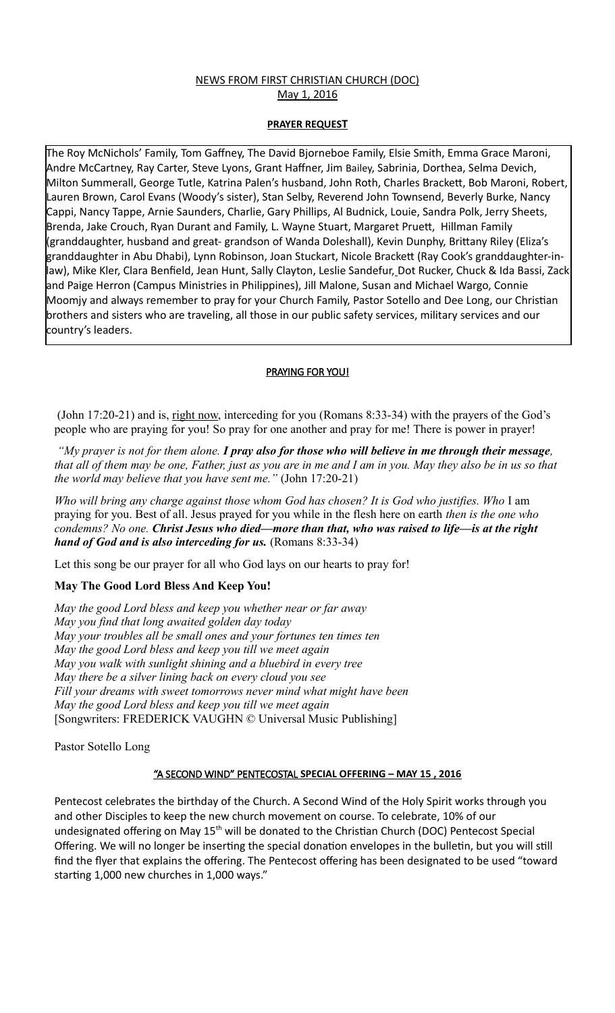## NEWS FROM FIRST CHRISTIAN CHURCH (DOC) May 1, 2016

#### **PRAYER REQUEST**

The Roy McNichols' Family, Tom Gaffney, The David Bjorneboe Family, Elsie Smith, Emma Grace Maroni, Andre McCartney, Ray Carter, Steve Lyons, Grant Haffner, Jim Bailey, Sabrinia, Dorthea, Selma Devich, Milton Summerall, George Tutle, Katrina Palen's husband, John Roth, Charles Brackett, Bob Maroni, Robert, Lauren Brown, Carol Evans (Woody's sister), Stan Selby, Reverend John Townsend, Beverly Burke, Nancy Cappi, Nancy Tappe, Arnie Saunders, Charlie, Gary Phillips, Al Budnick, Louie, Sandra Polk, Jerry Sheets, Brenda, Jake Crouch, Ryan Durant and Family, L. Wayne Stuart, Margaret Pruett, Hillman Family (granddaughter, husband and great- grandson of Wanda Doleshall), Kevin Dunphy, Brittany Riley (Eliza's granddaughter in Abu Dhabi), Lynn Robinson, Joan Stuckart, Nicole Brackett (Ray Cook's granddaughter-inlaw), Mike Kler, Clara Benfield, Jean Hunt, Sally Clayton, Leslie Sandefur, Dot Rucker, Chuck & Ida Bassi, Zack and Paige Herron (Campus Ministries in Philippines), Jill Malone, Susan and Michael Wargo, Connie Moomjy and always remember to pray for your Church Family, Pastor Sotello and Dee Long, our Christian brothers and sisters who are traveling, all those in our public safety services, military services and our country's leaders.

### PRAYING FOR YOU!

 (John 17:20-21) and is, right now, interceding for you (Romans 8:33-34) with the prayers of the God's people who are praying for you! So pray for one another and pray for me! There is power in prayer!

 *"My prayer is not for them alone. I pray also for those who will believe in me through their message, that all of them may be one, Father, just as you are in me and I am in you. May they also be in us so that the world may believe that you have sent me."* (John 17:20-21)

*Who will bring any charge against those whom God has chosen? It is God who justifies. Who* I am praying for you. Best of all. Jesus prayed for you while in the flesh here on earth *then is the one who condemns? No one. Christ Jesus who died—more than that, who was raised to life—is at the right hand of God and is also interceding for us.* (Romans 8:33-34)

Let this song be our prayer for all who God lays on our hearts to pray for!

# **May The Good Lord Bless And Keep You!**

*May the good Lord bless and keep you whether near or far away May you find that long awaited golden day today May your troubles all be small ones and your fortunes ten times ten May the good Lord bless and keep you till we meet again May you walk with sunlight shining and a bluebird in every tree May there be a silver lining back on every cloud you see Fill your dreams with sweet tomorrows never mind what might have been May the good Lord bless and keep you till we meet again* [Songwriters: FREDERICK VAUGHN © Universal Music Publishing]

Pastor Sotello Long

### "A SECOND WIND" PENTECOSTAL **SPECIAL OFFERING – MAY 15 , 2016**

Pentecost celebrates the birthday of the Church. A Second Wind of the Holy Spirit works through you and other Disciples to keep the new church movement on course. To celebrate, 10% of our undesignated offering on May  $15<sup>th</sup>$  will be donated to the Christian Church (DOC) Pentecost Special Offering. We will no longer be inserting the special donation envelopes in the bulletin, but you will still find the flyer that explains the offering. The Pentecost offering has been designated to be used "toward starting 1,000 new churches in 1,000 ways."